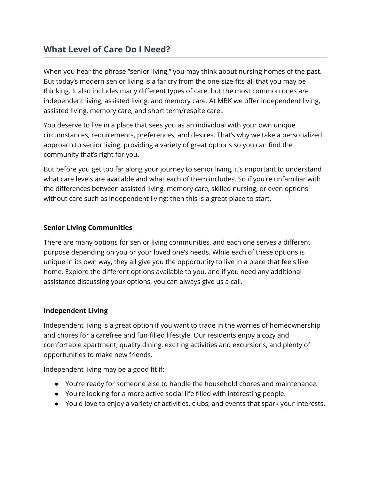# **What Level of Care Do I Need?**

When you hear the phrase "senior living," you may think about nursing homes of the past. But today's modern senior living is a far cry from the one-size-fits-all that you may be thinking. It also includes many different types of care, but the most common ones are independent living, assisted living, and memory care. At MBK we offer independent living, assisted living, memory care, and short term/respite care..

You deserve to live in a place that sees you as an individual with your own unique circumstances, requirements, preferences, and desires. That's why we take a personalized approach to senior living, providing a variety of great options so you can find the community that's right for you.

But before you get too far along your journey to senior living, it's important to understand what care levels are available and what each of them includes. So if you're unfamiliar with the differences between assisted living, memory care, skilled nursing, or even options without care such as independent living; then this is a great place to start.

### **Senior Living Communities**

There are many options for senior living communities, and each one serves a different purpose depending on you or your loved one's needs. While each of these options is unique in its own way, they all give you the opportunity to live in a place that feels like home. Explore the different options available to you, and if you need any additional assistance discussing your options, you can always give us a call.

#### **Independent Living**

Independent living is a great option if you want to trade in the worries of homeownership and chores for a carefree and fun-filled lifestyle. Our residents enjoy a cozy and comfortable apartment, quality dining, exciting activities and excursions, and plenty of opportunities to make new friends.

Independent living may be a good fit if:

- You're ready for someone else to handle the household chores and maintenance.
- You're looking for a more active social life filled with interesting people.
- You'd love to enjoy a variety of activities, clubs, and events that spark your interests.